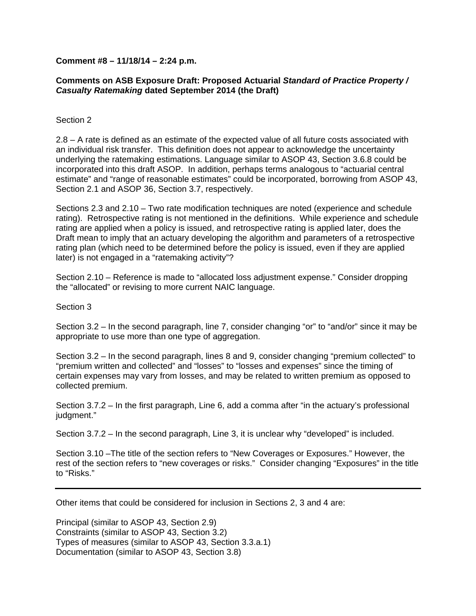## **Comment #8 – 11/18/14 – 2:24 p.m.**

## **Comments on ASB Exposure Draft: Proposed Actuarial** *Standard of Practice Property / Casualty Ratemaking* **dated September 2014 (the Draft)**

## Section 2

2.8 – A rate is defined as an estimate of the expected value of all future costs associated with an individual risk transfer. This definition does not appear to acknowledge the uncertainty underlying the ratemaking estimations. Language similar to ASOP 43, Section 3.6.8 could be incorporated into this draft ASOP. In addition, perhaps terms analogous to "actuarial central estimate" and "range of reasonable estimates" could be incorporated, borrowing from ASOP 43, Section 2.1 and ASOP 36, Section 3.7, respectively.

Sections 2.3 and 2.10 – Two rate modification techniques are noted (experience and schedule rating). Retrospective rating is not mentioned in the definitions. While experience and schedule rating are applied when a policy is issued, and retrospective rating is applied later, does the Draft mean to imply that an actuary developing the algorithm and parameters of a retrospective rating plan (which need to be determined before the policy is issued, even if they are applied later) is not engaged in a "ratemaking activity"?

Section 2.10 – Reference is made to "allocated loss adjustment expense." Consider dropping the "allocated" or revising to more current NAIC language.

## Section 3

Section 3.2 – In the second paragraph, line 7, consider changing "or" to "and/or" since it may be appropriate to use more than one type of aggregation.

Section 3.2 – In the second paragraph, lines 8 and 9, consider changing "premium collected" to "premium written and collected" and "losses" to "losses and expenses" since the timing of certain expenses may vary from losses, and may be related to written premium as opposed to collected premium.

Section 3.7.2 – In the first paragraph, Line 6, add a comma after "in the actuary's professional judgment."

Section 3.7.2 – In the second paragraph, Line 3, it is unclear why "developed" is included.

Section 3.10 –The title of the section refers to "New Coverages or Exposures." However, the rest of the section refers to "new coverages or risks." Consider changing "Exposures" in the title to "Risks."

Other items that could be considered for inclusion in Sections 2, 3 and 4 are:

Principal (similar to ASOP 43, Section 2.9) Constraints (similar to ASOP 43, Section 3.2) Types of measures (similar to ASOP 43, Section 3.3.a.1) Documentation (similar to ASOP 43, Section 3.8)